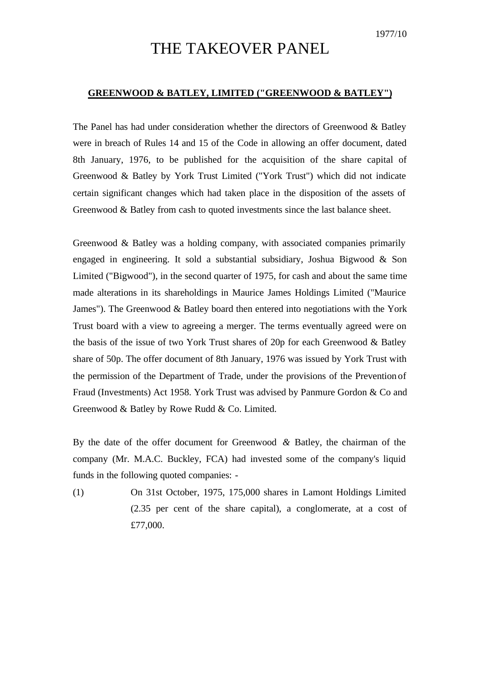## THE TAKEOVER PANEL

## **GREENWOOD & BATLEY, LIMITED ("GREENWOOD & BATLEY")**

The Panel has had under consideration whether the directors of Greenwood & Batley were in breach of Rules 14 and 15 of the Code in allowing an offer document, dated 8th January, 1976, to be published for the acquisition of the share capital of Greenwood & Batley by York Trust Limited ("York Trust") which did not indicate certain significant changes which had taken place in the disposition of the assets of Greenwood & Batley from cash to quoted investments since the last balance sheet.

Greenwood & Batley was a holding company, with associated companies primarily engaged in engineering. It sold a substantial subsidiary, Joshua Bigwood & Son Limited ("Bigwood"), in the second quarter of 1975, for cash and about the same time made alterations in its shareholdings in Maurice James Holdings Limited ("Maurice James"). The Greenwood & Batley board then entered into negotiations with the York Trust board with a view to agreeing a merger. The terms eventually agreed were on the basis of the issue of two York Trust shares of 20p for each Greenwood & Batley share of 50p. The offer document of 8th January, 1976 was issued by York Trust with the permission of the Department of Trade, under the provisions of the Prevention of Fraud (Investments) Act 1958. York Trust was advised by Panmure Gordon & Co and Greenwood & Batley by Rowe Rudd & Co. Limited.

By the date of the offer document for Greenwood *&* Batley, the chairman of the company (Mr. M.A.C. Buckley, FCA) had invested some of the company's liquid funds in the following quoted companies: -

(1) On 31st October, 1975, 175,000 shares in Lamont Holdings Limited (2.35 per cent of the share capital), a conglomerate, at a cost of £77,000.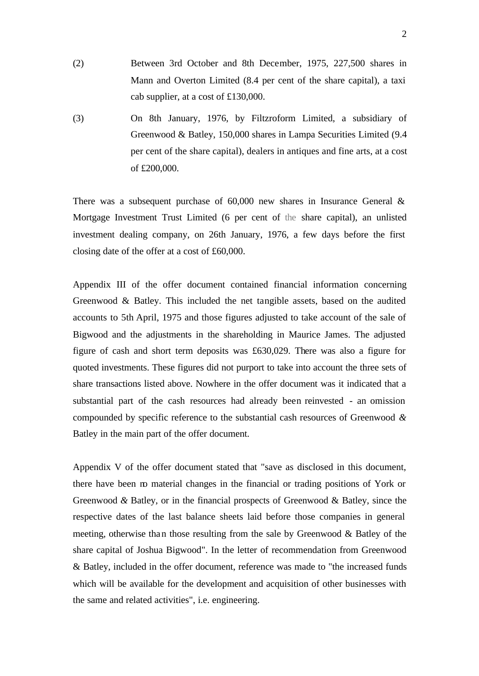- (2) Between 3rd October and 8th December, 1975, 227,500 shares in Mann and Overton Limited (8.4 per cent of the share capital), a taxi cab supplier, at a cost of £130,000.
- (3) On 8th January, 1976, by Filtzroform Limited, a subsidiary of Greenwood & Batley, 150,000 shares in Lampa Securities Limited (9.4 per cent of the share capital), dealers in antiques and fine arts, at a cost of £200,000.

There was a subsequent purchase of 60,000 new shares in Insurance General & Mortgage Investment Trust Limited (6 per cent of the share capital), an unlisted investment dealing company, on 26th January, 1976, a few days before the first closing date of the offer at a cost of £60,000.

Appendix III of the offer document contained financial information concerning Greenwood & Batley. This included the net tangible assets, based on the audited accounts to 5th April, 1975 and those figures adjusted to take account of the sale of Bigwood and the adjustments in the shareholding in Maurice James. The adjusted figure of cash and short term deposits was £630,029. There was also a figure for quoted investments. These figures did not purport to take into account the three sets of share transactions listed above. Nowhere in the offer document was it indicated that a substantial part of the cash resources had already been reinvested - an omission compounded by specific reference to the substantial cash resources of Greenwood *&*  Batley in the main part of the offer document.

Appendix V of the offer document stated that "save as disclosed in this document, there have been no material changes in the financial or trading positions of York or Greenwood *&* Batley, or in the financial prospects of Greenwood & Batley, since the respective dates of the last balance sheets laid before those companies in general meeting, otherwise than those resulting from the sale by Greenwood & Batley of the share capital of Joshua Bigwood". In the letter of recommendation from Greenwood & Batley, included in the offer document, reference was made to "the increased funds which will be available for the development and acquisition of other businesses with the same and related activities", i.e. engineering.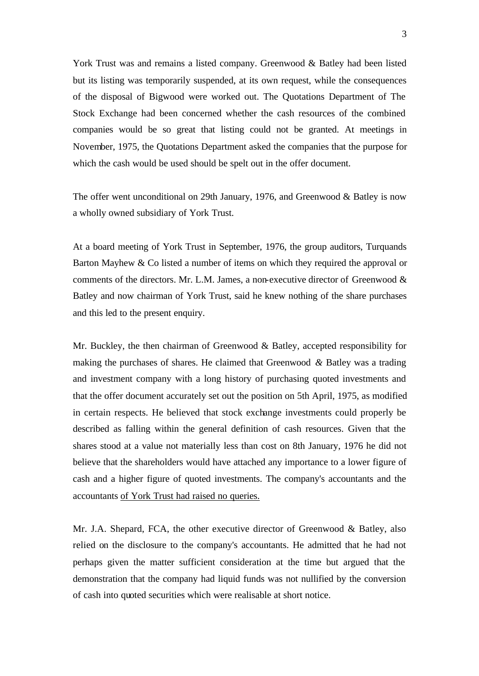York Trust was and remains a listed company. Greenwood & Batley had been listed but its listing was temporarily suspended, at its own request, while the consequences of the disposal of Bigwood were worked out. The Quotations Department of The Stock Exchange had been concerned whether the cash resources of the combined companies would be so great that listing could not be granted. At meetings in November, 1975, the Quotations Department asked the companies that the purpose for which the cash would be used should be spelt out in the offer document.

The offer went unconditional on 29th January, 1976, and Greenwood & Batley is now a wholly owned subsidiary of York Trust.

At a board meeting of York Trust in September, 1976, the group auditors, Turquands Barton Mayhew & Co listed a number of items on which they required the approval or comments of the directors. Mr. L.M. James, a non-executive director of Greenwood  $\&$ Batley and now chairman of York Trust, said he knew nothing of the share purchases and this led to the present enquiry.

Mr. Buckley, the then chairman of Greenwood & Batley, accepted responsibility for making the purchases of shares. He claimed that Greenwood *&* Batley was a trading and investment company with a long history of purchasing quoted investments and that the offer document accurately set out the position on 5th April, 1975, as modified in certain respects. He believed that stock exchange investments could properly be described as falling within the general definition of cash resources. Given that the shares stood at a value not materially less than cost on 8th January, 1976 he did not believe that the shareholders would have attached any importance to a lower figure of cash and a higher figure of quoted investments. The company's accountants and the accountants of York Trust had raised no queries.

Mr. J.A. Shepard, FCA, the other executive director of Greenwood & Batley, also relied on the disclosure to the company's accountants. He admitted that he had not perhaps given the matter sufficient consideration at the time but argued that the demonstration that the company had liquid funds was not nullified by the conversion of cash into quoted securities which were realisable at short notice.